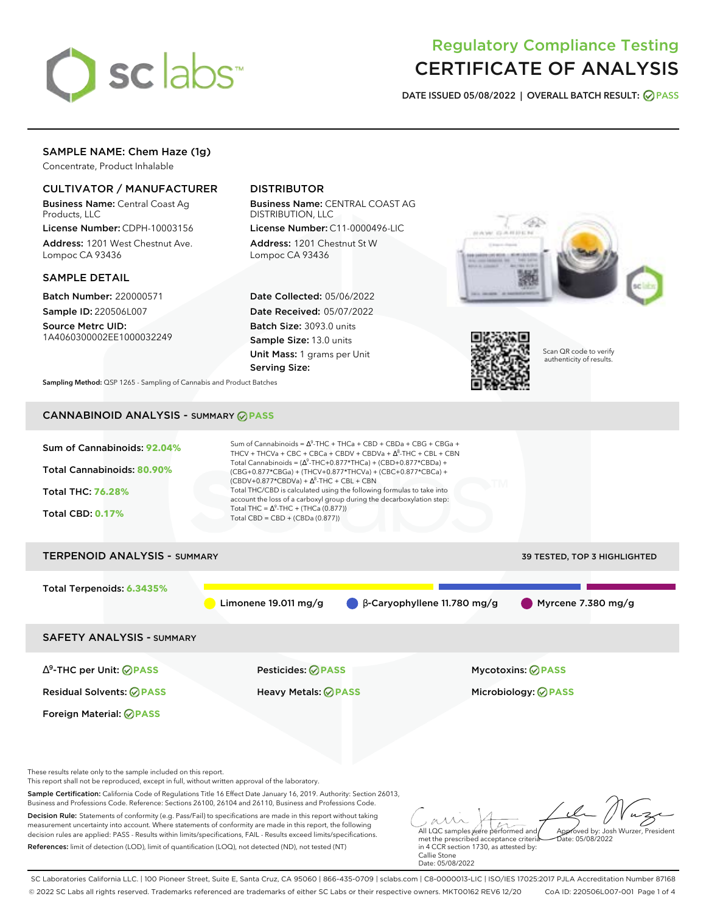

# Regulatory Compliance Testing CERTIFICATE OF ANALYSIS

**DATE ISSUED 05/08/2022 | OVERALL BATCH RESULT: PASS**

# SAMPLE NAME: Chem Haze (1g)

Concentrate, Product Inhalable

# CULTIVATOR / MANUFACTURER

Business Name: Central Coast Ag Products, LLC

License Number: CDPH-10003156 Address: 1201 West Chestnut Ave. Lompoc CA 93436

### SAMPLE DETAIL

Batch Number: 220000571 Sample ID: 220506L007

Source Metrc UID: 1A4060300002EE1000032249

# DISTRIBUTOR

Business Name: CENTRAL COAST AG DISTRIBUTION, LLC

License Number: C11-0000496-LIC Address: 1201 Chestnut St W Lompoc CA 93436

Date Collected: 05/06/2022 Date Received: 05/07/2022 Batch Size: 3093.0 units Sample Size: 13.0 units Unit Mass: 1 grams per Unit Serving Size:





Scan QR code to verify authenticity of results.

**Sampling Method:** QSP 1265 - Sampling of Cannabis and Product Batches

# CANNABINOID ANALYSIS - SUMMARY **PASS**



Business and Professions Code. Reference: Sections 26100, 26104 and 26110, Business and Professions Code. Decision Rule: Statements of conformity (e.g. Pass/Fail) to specifications are made in this report without taking measurement uncertainty into account. Where statements of conformity are made in this report, the following decision rules are applied: PASS - Results within limits/specifications, FAIL - Results exceed limits/specifications. References: limit of detection (LOD), limit of quantification (LOQ), not detected (ND), not tested (NT)

All LQC samples were performed and met the prescribed acceptance criteria in 4 CCR section 1730, as attested by: Callie Stone Approved by: Josh Wurzer, President  $ate: 05/08/2022$ 

Date: 05/08/2022

SC Laboratories California LLC. | 100 Pioneer Street, Suite E, Santa Cruz, CA 95060 | 866-435-0709 | sclabs.com | C8-0000013-LIC | ISO/IES 17025:2017 PJLA Accreditation Number 87168 © 2022 SC Labs all rights reserved. Trademarks referenced are trademarks of either SC Labs or their respective owners. MKT00162 REV6 12/20 CoA ID: 220506L007-001 Page 1 of 4